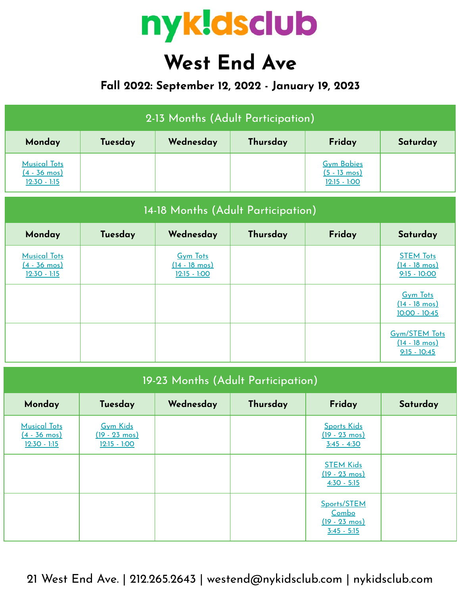

# **West End Ave**

## **Fall 2022: September 12, 2022 - January 19, 2023**

| 2-13 Months (Adult Participation)                               |         |           |          |                                                               |          |  |  |
|-----------------------------------------------------------------|---------|-----------|----------|---------------------------------------------------------------|----------|--|--|
| Monday                                                          | Tuesday | Wednesday | Thursday | Friday                                                        | Saturday |  |  |
| <b>Musical Tots</b><br>$(4 - 36 \text{ mos})$<br>$12:30 - 1:15$ |         |           |          | <b>Gym Babies</b><br>$(5 - 13 \text{ mos})$<br>$12:15 - 1:00$ |          |  |  |

| 14-18 Months (Adult Participation)                              |         |                                                              |          |        |                                                                   |  |  |
|-----------------------------------------------------------------|---------|--------------------------------------------------------------|----------|--------|-------------------------------------------------------------------|--|--|
| Monday                                                          | Tuesday | Wednesday                                                    | Thursday | Friday | Saturday                                                          |  |  |
| <b>Musical Tots</b><br>$(4 - 36 \text{ mos})$<br>$12:30 - 1:15$ |         | <b>Gym Tots</b><br>$(14 - 18 \text{ mos})$<br>$12:15 - 1:00$ |          |        | <b>STEM Tots</b><br>$(14 - 18 \text{ mos})$<br>$9:15 - 10:00$     |  |  |
|                                                                 |         |                                                              |          |        | <b>Gym Tots</b><br>$(14 - 18 \text{ mos})$<br>$10:00 - 10:45$     |  |  |
|                                                                 |         |                                                              |          |        | <b>Gym/STEM Tots</b><br>$(14 - 18 \text{ mos})$<br>$9:15 - 10:45$ |  |  |

| 19-23 Months (Adult Participation)                              |                                                              |           |          |                                                                  |          |  |  |
|-----------------------------------------------------------------|--------------------------------------------------------------|-----------|----------|------------------------------------------------------------------|----------|--|--|
| Monday                                                          | Tuesday                                                      | Wednesday | Thursday | Friday                                                           | Saturday |  |  |
| <b>Musical Tots</b><br>$(4 - 36 \text{ mos})$<br>$12:30 - 1:15$ | <b>Gym Kids</b><br>$(19 - 23 \text{ mos})$<br>$12:15 - 1:00$ |           |          | <b>Sports Kids</b><br>$(19 - 23 \text{ mos})$<br>$3:45 - 4:30$   |          |  |  |
|                                                                 |                                                              |           |          | <b>STEM Kids</b><br>$(19 - 23 \text{ mos})$<br>$4:30 - 5:15$     |          |  |  |
|                                                                 |                                                              |           |          | Sports/STEM<br>Combo<br>$(19 - 23 \text{ mos})$<br>$3:45 - 5:15$ |          |  |  |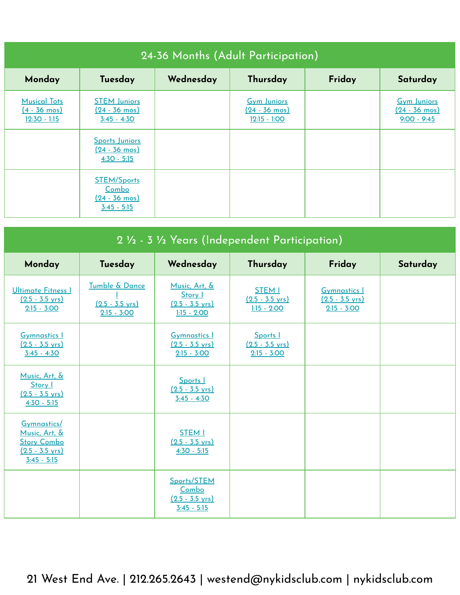| 24-36 Months (Adult Participation)                              |                                                                         |           |                                                                 |        |                                                                |  |  |
|-----------------------------------------------------------------|-------------------------------------------------------------------------|-----------|-----------------------------------------------------------------|--------|----------------------------------------------------------------|--|--|
| Monday                                                          | Tuesday                                                                 | Wednesday | Thursday                                                        | Friday | Saturday                                                       |  |  |
| <b>Musical Tots</b><br>$(4 - 36 \text{ mos})$<br>$12:30 - 1:15$ | <b>STEM Juniors</b><br><u>(24 - 36 mos)</u><br>$3:45 - 4:30$            |           | <b>Gym Juniors</b><br>$(24 - 36 \text{ mos})$<br>$12:15 - 1:00$ |        | <b>Gym Juniors</b><br>$(24 - 36 \text{ mos})$<br>$9:00 - 9:45$ |  |  |
|                                                                 | Sports Juniors<br>$(24 - 36 \text{ mos})$<br>$4:30 - 5:15$              |           |                                                                 |        |                                                                |  |  |
|                                                                 | <b>STEM/Sports</b><br>Combo<br>$(24 - 36 \text{ mos})$<br>$3:45 - 5:15$ |           |                                                                 |        |                                                                |  |  |

| 2 1/2 - 3 1/2 Years (Independent Participation)                                                  |                                                              |                                                                        |                                                             |                                                                   |          |  |
|--------------------------------------------------------------------------------------------------|--------------------------------------------------------------|------------------------------------------------------------------------|-------------------------------------------------------------|-------------------------------------------------------------------|----------|--|
| Monday                                                                                           | Tuesday                                                      | Wednesday                                                              | Thursday                                                    | Friday                                                            | Saturday |  |
| Ultimate Fitness I<br>$(2.5 - 3.5 \text{ yrs})$<br>$2:15 - 3:00$                                 | Tumble & Dance<br>$(2.5 - 3.5 \text{ yrs})$<br>$2:15 - 3:00$ | Music, Art, &<br>Story I<br>$(2.5 - 3.5 \text{ yrs})$<br>$1:15 - 2:00$ | <b>STEM I</b><br>$(2.5 - 3.5 \text{ yrs})$<br>$1:15 - 2:00$ | <b>Gymnastics 1</b><br>$(2.5 - 3.5 \text{ yrs})$<br>$2:15 - 3:00$ |          |  |
| <b>Gymnastics I</b><br>$(2.5 - 3.5 \text{ vrs})$<br>$3:45 - 4:30$                                |                                                              | <b>Gymnastics 1</b><br>$(2.5 - 3.5 \text{ vrs})$<br>$2:15 - 3:00$      | Sports  <br>$(2.5 - 3.5 \text{ vrs})$<br>$2:15 - 3:00$      |                                                                   |          |  |
| Music, Art, &<br>Story I<br>$(2.5 - 3.5 \text{ vrs})$<br>$4:30 - 5:15$                           |                                                              | Sports I<br>$(2.5 - 3.5 \text{ vrs})$<br>$3:45 - 4:30$                 |                                                             |                                                                   |          |  |
| Gymnastics/<br>Music, Art, &<br><b>Story Combo</b><br>$(2.5 - 3.5 \text{ vrs})$<br>$3:45 - 5:15$ |                                                              | <b>STEM I</b><br>$(2.5 - 3.5 \text{ vrs})$<br>$4:30 - 5:15$            |                                                             |                                                                   |          |  |
|                                                                                                  |                                                              | Sports/STEM<br>Combo<br>$(2.5 - 3.5 \text{ yrs})$<br>$3:45 - 5:15$     |                                                             |                                                                   |          |  |

21 West End Ave. | 212.265.2643 | westend@nykidsclub.com | nykidsclub.com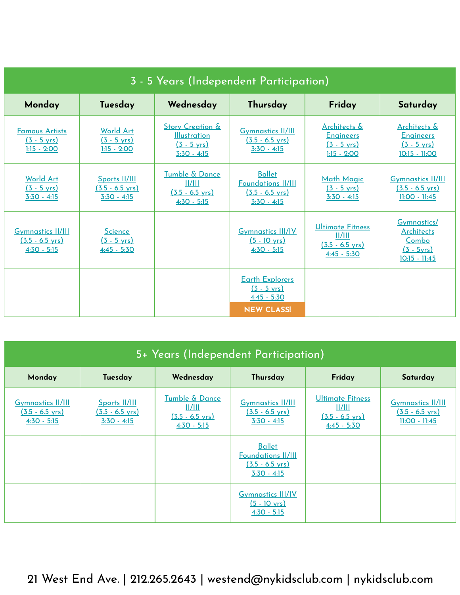| 3 - 5 Years (Independent Participation)                                |                                                             |                                                                                              |                                                                                          |                                                                                 |                                                                                     |  |  |
|------------------------------------------------------------------------|-------------------------------------------------------------|----------------------------------------------------------------------------------------------|------------------------------------------------------------------------------------------|---------------------------------------------------------------------------------|-------------------------------------------------------------------------------------|--|--|
| Monday                                                                 | Tuesday                                                     | Wednesday                                                                                    | Thursday                                                                                 | Friday                                                                          | Saturday                                                                            |  |  |
| <b>Famous Artists</b><br>$(3 - 5 \text{ vrs})$<br>$1:15 - 2:00$        | <b>World Art</b><br>$(3 - 5 \text{ vrs})$<br>$1:15 - 2:00$  | <b>Story Creation &amp;</b><br><b>Illustration</b><br>$(3 - 5 \text{ yrs})$<br>$3:30 - 4:15$ | <b>Gymnastics II/III</b><br>$(3.5 - 6.5 \text{ vrs})$<br>$3:30 - 4:15$                   | Architects &<br><b>Engineers</b><br>$(3 - 5 \text{ yrs})$<br>$1:15 - 2:00$      | Architects &<br><b>Engineers</b><br>$(3 - 5 \text{ yrs})$<br>10:15 - 11:00          |  |  |
| <b>World Art</b><br>$(3 - 5 \text{ vrs})$<br>$3:30 - 4:15$             | Sports II/III<br>$(3.5 - 6.5 \text{ vrs})$<br>$3:30 - 4:15$ | Tumble & Dance<br>  /   <br>$(3.5 - 6.5 \text{ vrs})$<br>$4:30 - 5:15$                       | <b>Ballet</b><br><b>Foundations II/III</b><br>$(3.5 - 6.5 \text{ vrs})$<br>$3:30 - 4:15$ | <b>Math Magic</b><br>$(3 - 5 \text{ vrs})$<br>$3:30 - 4:15$                     | <b>Gymnastics II/III</b><br>$(3.5 - 6.5 \text{ vrs})$<br>11:00 - 11:45              |  |  |
| <b>Gymnastics II/III</b><br>$(3.5 - 6.5 \text{ yrs})$<br>$4:30 - 5:15$ | <b>Science</b><br>$(3 - 5 \text{ yrs})$<br>$4:45 - 5:30$    |                                                                                              | <b>Gymnastics III/IV</b><br>$(5 - 10 \text{ yrs})$<br>$4:30 - 5:15$                      | <b>Ultimate Fitness</b><br>  /   <br>$(3.5 - 6.5 \text{ yrs})$<br>$4:45 - 5:30$ | <b>Gymnastics/</b><br><b>Architects</b><br>Combo<br>$(3 - 5yrs)$<br>$10:15 - 11:45$ |  |  |
|                                                                        |                                                             |                                                                                              | <b>Earth Explorers</b><br>$(3 - 5 \text{ yrs})$<br>$4:45 - 5:30$<br><b>NEW CLASS!</b>    |                                                                                 |                                                                                     |  |  |

| 5+ Years (Independent Participation)                                   |                                                             |                                                                                     |                                                                                          |                                                                          |                                                                          |  |  |
|------------------------------------------------------------------------|-------------------------------------------------------------|-------------------------------------------------------------------------------------|------------------------------------------------------------------------------------------|--------------------------------------------------------------------------|--------------------------------------------------------------------------|--|--|
| Monday                                                                 | Tuesday                                                     | Wednesday                                                                           | Thursday                                                                                 | Friday                                                                   | Saturday                                                                 |  |  |
| <b>Gymnastics II/III</b><br>$(3.5 - 6.5 \text{ vrs})$<br>$4:30 - 5:15$ | Sports II/III<br>$(3.5 - 6.5 \text{ vrs})$<br>$3:30 - 4:15$ | Tumble & Dance<br>$\frac{  /   }{  }$<br>$(3.5 - 6.5 \text{ vrs})$<br>$4:30 - 5:15$ | <b>Gymnastics II/III</b><br>$(3.5 - 6.5 \text{ vrs})$<br>$3:30 - 4:15$                   | Ultimate Fitness<br>  /   <br>$(3.5 - 6.5 \text{ vrs})$<br>$4:45 - 5:30$ | <b>Gymnastics II/III</b><br>$(3.5 - 6.5 \text{ vrs})$<br>$11:00 - 11:45$ |  |  |
|                                                                        |                                                             |                                                                                     | <b>Ballet</b><br><b>Foundations II/III</b><br>$(3.5 - 6.5 \text{ yrs})$<br>$3:30 - 4:15$ |                                                                          |                                                                          |  |  |
|                                                                        |                                                             |                                                                                     | <b>Gymnastics III/IV</b><br>$(5 - 10 \text{ yrs})$<br>$4:30 - 5:15$                      |                                                                          |                                                                          |  |  |